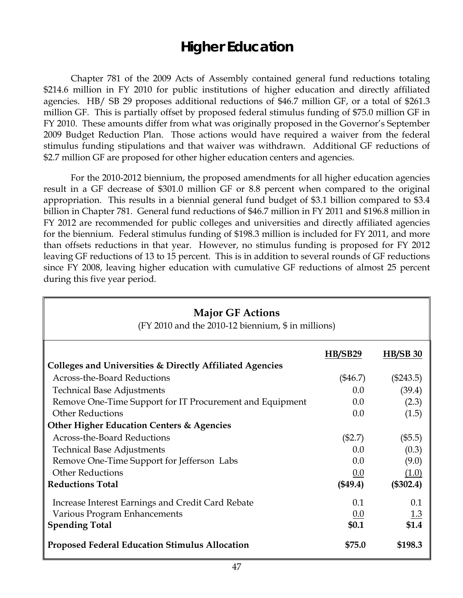# **Higher Education**

 Chapter 781 of the 2009 Acts of Assembly contained general fund reductions totaling \$214.6 million in FY 2010 for public institutions of higher education and directly affiliated agencies. HB/ SB 29 proposes additional reductions of \$46.7 million GF, or a total of \$261.3 million GF. This is partially offset by proposed federal stimulus funding of \$75.0 million GF in FY 2010. These amounts differ from what was originally proposed in the Governor's September 2009 Budget Reduction Plan. Those actions would have required a waiver from the federal stimulus funding stipulations and that waiver was withdrawn. Additional GF reductions of \$2.7 million GF are proposed for other higher education centers and agencies.

For the 2010-2012 biennium, the proposed amendments for all higher education agencies result in a GF decrease of \$301.0 million GF or 8.8 percent when compared to the original appropriation. This results in a biennial general fund budget of \$3.1 billion compared to \$3.4 billion in Chapter 781. General fund reductions of \$46.7 million in FY 2011 and \$196.8 million in FY 2012 are recommended for public colleges and universities and directly affiliated agencies for the biennium. Federal stimulus funding of \$198.3 million is included for FY 2011, and more than offsets reductions in that year. However, no stimulus funding is proposed for FY 2012 leaving GF reductions of 13 to 15 percent. This is in addition to several rounds of GF reductions since FY 2008, leaving higher education with cumulative GF reductions of almost 25 percent during this five year period.

| <b>Major GF Actions</b><br>(FY 2010 and the 2010-12 biennium, \$ in millions) |            |                 |  |  |
|-------------------------------------------------------------------------------|------------|-----------------|--|--|
|                                                                               | HB/SB29    | <b>HB/SB 30</b> |  |  |
| Colleges and Universities & Directly Affiliated Agencies                      |            |                 |  |  |
| Across-the-Board Reductions                                                   | $(\$46.7)$ | $(\$243.5)$     |  |  |
| <b>Technical Base Adjustments</b>                                             | 0.0        | (39.4)          |  |  |
| Remove One-Time Support for IT Procurement and Equipment                      | 0.0        | (2.3)           |  |  |
| <b>Other Reductions</b>                                                       | 0.0        | (1.5)           |  |  |
| <b>Other Higher Education Centers &amp; Agencies</b>                          |            |                 |  |  |
| <b>Across-the-Board Reductions</b>                                            | (\$2.7)    | (\$5.5)         |  |  |
| <b>Technical Base Adjustments</b>                                             | 0.0        | (0.3)           |  |  |
| Remove One-Time Support for Jefferson Labs                                    | 0.0        | (9.0)           |  |  |
| <b>Other Reductions</b>                                                       | 0.0        | (1.0)           |  |  |
| <b>Reductions Total</b>                                                       | (\$49.4)   | (\$302.4)       |  |  |
| Increase Interest Earnings and Credit Card Rebate                             | 0.1        | 0.1             |  |  |
| Various Program Enhancements                                                  | 0.0        | <u>1.3</u>      |  |  |
| <b>Spending Total</b>                                                         | \$0.1      | \$1.4           |  |  |
| <b>Proposed Federal Education Stimulus Allocation</b>                         | \$75.0     | \$198.3         |  |  |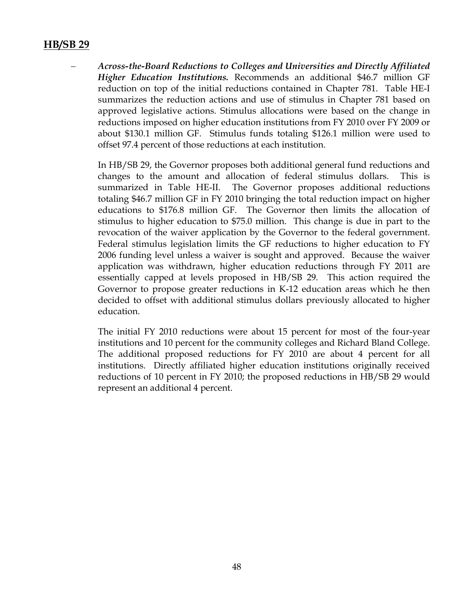#### **HB/SB 29**

− *Across-the-Board Reductions to Colleges and Universities and Directly Affiliated Higher Education Institutions.* Recommends an additional \$46.7 million GF reduction on top of the initial reductions contained in Chapter 781. Table HE-I summarizes the reduction actions and use of stimulus in Chapter 781 based on approved legislative actions. Stimulus allocations were based on the change in reductions imposed on higher education institutions from FY 2010 over FY 2009 or about \$130.1 million GF. Stimulus funds totaling \$126.1 million were used to offset 97.4 percent of those reductions at each institution.

In HB/SB 29, the Governor proposes both additional general fund reductions and changes to the amount and allocation of federal stimulus dollars. This is summarized in Table HE-II. The Governor proposes additional reductions totaling \$46.7 million GF in FY 2010 bringing the total reduction impact on higher educations to \$176.8 million GF. The Governor then limits the allocation of stimulus to higher education to \$75.0 million. This change is due in part to the revocation of the waiver application by the Governor to the federal government. Federal stimulus legislation limits the GF reductions to higher education to FY 2006 funding level unless a waiver is sought and approved. Because the waiver application was withdrawn, higher education reductions through FY 2011 are essentially capped at levels proposed in HB/SB 29. This action required the Governor to propose greater reductions in K-12 education areas which he then decided to offset with additional stimulus dollars previously allocated to higher education.

The initial FY 2010 reductions were about 15 percent for most of the four-year institutions and 10 percent for the community colleges and Richard Bland College. The additional proposed reductions for FY 2010 are about 4 percent for all institutions. Directly affiliated higher education institutions originally received reductions of 10 percent in FY 2010; the proposed reductions in HB/SB 29 would represent an additional 4 percent.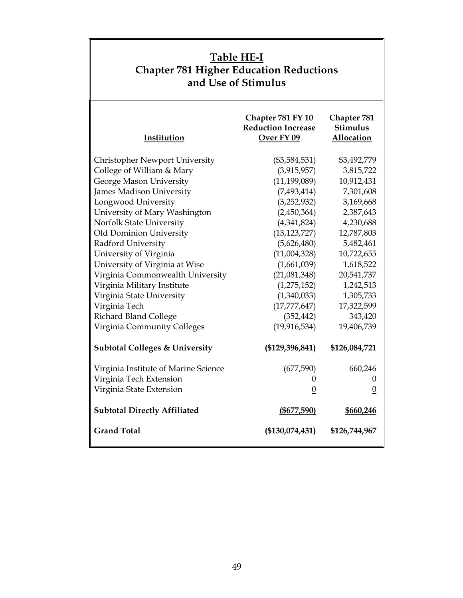| Table HE-I<br><b>Chapter 781 Higher Education Reductions</b><br>and Use of Stimulus |                                                              |                                                     |  |
|-------------------------------------------------------------------------------------|--------------------------------------------------------------|-----------------------------------------------------|--|
| Institution                                                                         | Chapter 781 FY 10<br><b>Reduction Increase</b><br>Over FY 09 | Chapter 781<br><b>Stimulus</b><br><b>Allocation</b> |  |
| Christopher Newport University                                                      | $(\$3,584,531)$                                              | \$3,492,779                                         |  |
| College of William & Mary                                                           | (3,915,957)                                                  | 3,815,722                                           |  |
| George Mason University                                                             | (11, 199, 089)                                               | 10,912,431                                          |  |
| James Madison University                                                            | (7,493,414)                                                  | 7,301,608                                           |  |
| Longwood University                                                                 | (3,252,932)                                                  | 3,169,668                                           |  |
| University of Mary Washington                                                       | (2,450,364)                                                  | 2,387,643                                           |  |
| Norfolk State University                                                            | (4,341,824)                                                  | 4,230,688                                           |  |
| Old Dominion University                                                             | (13, 123, 727)                                               | 12,787,803                                          |  |
| Radford University                                                                  | (5,626,480)                                                  | 5,482,461                                           |  |
| University of Virginia                                                              | (11,004,328)                                                 | 10,722,655                                          |  |
| University of Virginia at Wise                                                      | (1,661,039)                                                  | 1,618,522                                           |  |
| Virginia Commonwealth University                                                    | (21,081,348)                                                 | 20,541,737                                          |  |
| Virginia Military Institute                                                         | (1,275,152)                                                  | 1,242,513                                           |  |
| Virginia State University                                                           | (1,340,033)                                                  | 1,305,733                                           |  |
| Virginia Tech                                                                       | (17, 777, 647)                                               | 17,322,599                                          |  |
| <b>Richard Bland College</b>                                                        | (352, 442)                                                   | 343,420                                             |  |
| Virginia Community Colleges                                                         | (19, 916, 534)                                               | 19,406,739                                          |  |
| <b>Subtotal Colleges &amp; University</b>                                           | $(\$129,396,841)$                                            | \$126,084,721                                       |  |
| Virginia Institute of Marine Science                                                | (677,590)                                                    | 660,246                                             |  |
| Virginia Tech Extension                                                             | U                                                            | U                                                   |  |
| Virginia State Extension                                                            | $\overline{0}$                                               | $\overline{0}$                                      |  |
| <b>Subtotal Directly Affiliated</b>                                                 | $($ \$677,590)                                               | \$660,246                                           |  |
| <b>Grand Total</b>                                                                  | (\$130,074,431)                                              | \$126,744,967                                       |  |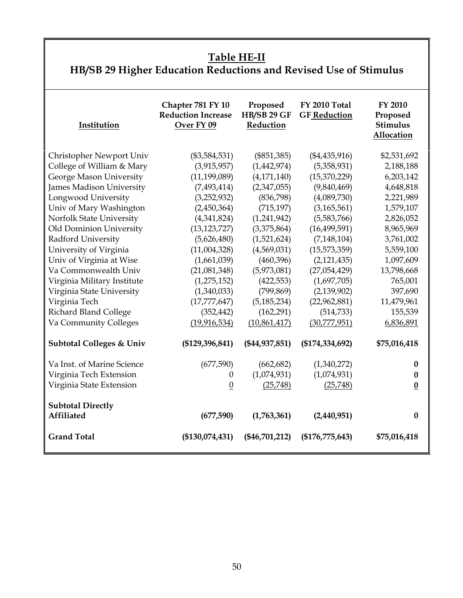#### **Table HE-II**

**HB/SB 29 Higher Education Reductions and Revised Use of Stimulus** 

| Institution                         | Chapter 781 FY 10<br><b>Reduction Increase</b><br>Over FY 09 | Proposed<br><b>HB/SB 29 GF</b><br>Reduction | <b>FY 2010 Total</b><br><b>GF Reduction</b> | FY 2010<br>Proposed<br><b>Stimulus</b><br>Allocation |
|-------------------------------------|--------------------------------------------------------------|---------------------------------------------|---------------------------------------------|------------------------------------------------------|
| Christopher Newport Univ            | $(\$3,584,531)$                                              | $(\$851,385)$                               | $(\$4,435,916)$                             | \$2,531,692                                          |
| College of William & Mary           | (3,915,957)                                                  | (1,442,974)                                 | (5,358,931)                                 | 2,188,188                                            |
| George Mason University             | (11, 199, 089)                                               | (4, 171, 140)                               | (15,370,229)                                | 6,203,142                                            |
| James Madison University            | (7, 493, 414)                                                | (2,347,055)                                 | (9,840,469)                                 | 4,648,818                                            |
| Longwood University                 | (3,252,932)                                                  | (836,798)                                   | (4,089,730)                                 | 2,221,989                                            |
| Univ of Mary Washington             | (2,450,364)                                                  | (715, 197)                                  | (3, 165, 561)                               | 1,579,107                                            |
| Norfolk State University            | (4,341,824)                                                  | (1,241,942)                                 | (5,583,766)                                 | 2,826,052                                            |
| Old Dominion University             | (13, 123, 727)                                               | (3,375,864)                                 | (16, 499, 591)                              | 8,965,969                                            |
| Radford University                  | (5,626,480)                                                  | (1,521,624)                                 | (7, 148, 104)                               | 3,761,002                                            |
| University of Virginia              | (11,004,328)                                                 | (4,569,031)                                 | (15,573,359)                                | 5,559,100                                            |
| Univ of Virginia at Wise            | (1,661,039)                                                  | (460, 396)                                  | (2, 121, 435)                               | 1,097,609                                            |
| Va Commonwealth Univ                | (21,081,348)                                                 | (5,973,081)                                 | (27,054,429)                                | 13,798,668                                           |
| Virginia Military Institute         | (1, 275, 152)                                                | (422, 553)                                  | (1,697,705)                                 | 765,001                                              |
| Virginia State University           | (1,340,033)                                                  | (799, 869)                                  | (2,139,902)                                 | 397,690                                              |
| Virginia Tech                       | (17, 777, 647)                                               | (5, 185, 234)                               | (22,962,881)                                | 11,479,961                                           |
| Richard Bland College               | (352, 442)                                                   | (162, 291)                                  | (514, 733)                                  | 155,539                                              |
| Va Community Colleges               | (19, 916, 534)                                               | (10,861,417)                                | (30,777,951)                                | 6,836,891                                            |
| <b>Subtotal Colleges &amp; Univ</b> | (\$129,396,841)                                              | (\$44,937,851)                              | (\$174,334,692)                             | \$75,016,418                                         |
| Va Inst. of Marine Science          | (677,590)                                                    | (662, 682)                                  | (1,340,272)                                 | $\bf{0}$                                             |
| Virginia Tech Extension             | $\theta$                                                     | (1,074,931)                                 | (1,074,931)                                 | 0                                                    |
| Virginia State Extension            | $\overline{0}$                                               | (25,748)                                    | (25,748)                                    | $\boldsymbol{0}$                                     |
| <b>Subtotal Directly</b>            |                                                              |                                             |                                             |                                                      |
| <b>Affiliated</b>                   | (677,590)                                                    | (1,763,361)                                 | (2,440,951)                                 | 0                                                    |
| <b>Grand Total</b>                  | (\$130,074,431)                                              | $(\$46,701,212)$                            | $(\$176,775,643)$                           | \$75,016,418                                         |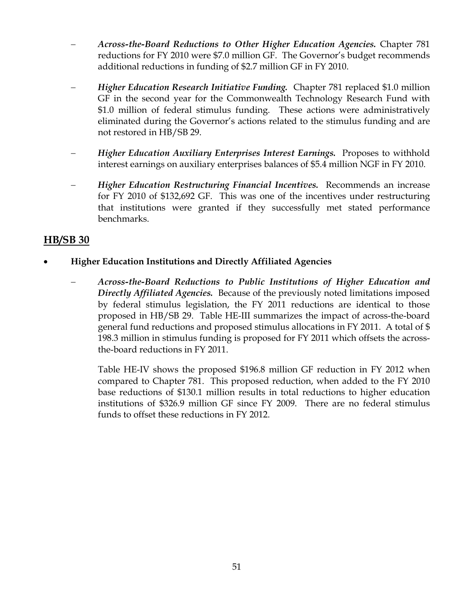- − *Across-the-Board Reductions to Other Higher Education Agencies.* Chapter 781 reductions for FY 2010 were \$7.0 million GF. The Governor's budget recommends additional reductions in funding of \$2.7 million GF in FY 2010.
- − *Higher Education Research Initiative Funding.* Chapter 781 replaced \$1.0 million GF in the second year for the Commonwealth Technology Research Fund with \$1.0 million of federal stimulus funding. These actions were administratively eliminated during the Governor's actions related to the stimulus funding and are not restored in HB/SB 29.
- *Higher Education Auxiliary Enterprises Interest Earnings.* Proposes to withhold interest earnings on auxiliary enterprises balances of \$5.4 million NGF in FY 2010.
- − *Higher Education Restructuring Financial Incentives.* Recommends an increase for FY 2010 of \$132,692 GF. This was one of the incentives under restructuring that institutions were granted if they successfully met stated performance benchmarks.

#### **HB/SB 30**

- **Higher Education Institutions and Directly Affiliated Agencies**
	- − *Across-the-Board Reductions to Public Institutions of Higher Education and Directly Affiliated Agencies.* Because of the previously noted limitations imposed by federal stimulus legislation, the FY 2011 reductions are identical to those proposed in HB/SB 29. Table HE-III summarizes the impact of across-the-board general fund reductions and proposed stimulus allocations in FY 2011. A total of \$ 198.3 million in stimulus funding is proposed for FY 2011 which offsets the acrossthe-board reductions in FY 2011.

Table HE-IV shows the proposed \$196.8 million GF reduction in FY 2012 when compared to Chapter 781. This proposed reduction, when added to the FY 2010 base reductions of \$130.1 million results in total reductions to higher education institutions of \$326.9 million GF since FY 2009. There are no federal stimulus funds to offset these reductions in FY 2012.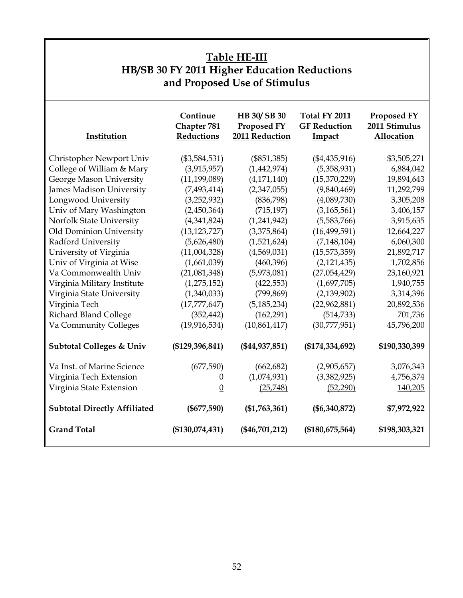| <b>Table HE-III</b><br>HB/SB 30 FY 2011 Higher Education Reductions<br>and Proposed Use of Stimulus |                                       |                                              |                                                       |                                            |
|-----------------------------------------------------------------------------------------------------|---------------------------------------|----------------------------------------------|-------------------------------------------------------|--------------------------------------------|
| Institution                                                                                         | Continue<br>Chapter 781<br>Reductions | HB 30/SB 30<br>Proposed FY<br>2011 Reduction | Total FY 2011<br><b>GF Reduction</b><br><b>Impact</b> | Proposed FY<br>2011 Stimulus<br>Allocation |
| Christopher Newport Univ                                                                            | $(\$3,584,531)$                       | $(\$851,385)$                                | $(*4,435,916)$                                        | \$3,505,271                                |
| College of William & Mary                                                                           | (3,915,957)                           | (1,442,974)                                  | (5,358,931)                                           | 6,884,042                                  |
| George Mason University                                                                             | (11, 199, 089)                        | (4, 171, 140)                                | (15,370,229)                                          | 19,894,643                                 |
| James Madison University                                                                            | (7, 493, 414)                         | (2,347,055)                                  | (9,840,469)                                           | 11,292,799                                 |
| Longwood University                                                                                 | (3,252,932)                           | (836,798)                                    | (4,089,730)                                           | 3,305,208                                  |
| Univ of Mary Washington                                                                             | (2,450,364)                           | (715, 197)                                   | (3, 165, 561)                                         | 3,406,157                                  |
| Norfolk State University                                                                            | (4,341,824)                           | (1,241,942)                                  | (5,583,766)                                           | 3,915,635                                  |
| Old Dominion University                                                                             | (13, 123, 727)                        | (3,375,864)                                  | (16, 499, 591)                                        | 12,664,227                                 |
| Radford University                                                                                  | (5,626,480)                           | (1,521,624)                                  | (7, 148, 104)                                         | 6,060,300                                  |
| University of Virginia                                                                              | (11,004,328)                          | (4,569,031)                                  | (15,573,359)                                          | 21,892,717                                 |
| Univ of Virginia at Wise                                                                            | (1,661,039)                           | (460, 396)                                   | (2, 121, 435)                                         | 1,702,856                                  |
| Va Commonwealth Univ                                                                                | (21,081,348)                          | (5,973,081)                                  | (27,054,429)                                          | 23,160,921                                 |
| Virginia Military Institute                                                                         | (1,275,152)                           | (422, 553)                                   | (1,697,705)                                           | 1,940,755                                  |
| Virginia State University                                                                           | (1,340,033)                           | (799, 869)                                   | (2, 139, 902)                                         | 3,314,396                                  |
| Virginia Tech                                                                                       | (17, 777, 647)                        | (5, 185, 234)                                | (22,962,881)                                          | 20,892,536                                 |
| Richard Bland College                                                                               | (352, 442)                            | (162, 291)                                   | (514, 733)                                            | 701,736                                    |
| Va Community Colleges                                                                               | (19, 916, 534)                        | (10,861,417)                                 | (30,777,951)                                          | 45,796,200                                 |
| <b>Subtotal Colleges &amp; Univ</b>                                                                 | (\$129,396,841)                       | $(\$44,937,851)$                             | (\$174,334,692)                                       | \$190,330,399                              |
| Va Inst. of Marine Science                                                                          | (677,590)                             | (662, 682)                                   | (2,905,657)                                           | 3,076,343                                  |
| Virginia Tech Extension                                                                             | 0                                     | (1,074,931)                                  | (3,382,925)                                           | 4,756,374                                  |
| Virginia State Extension                                                                            | $\overline{0}$                        | (25,748)                                     | (52, 290)                                             | 140,205                                    |
| <b>Subtotal Directly Affiliated</b>                                                                 | $(\$677,590)$                         | $(\$1,763,361)$                              | $(\$6,340,872)$                                       | \$7,972,922                                |
| <b>Grand Total</b>                                                                                  | (\$130,074,431)                       | $(\$46,701,212)$                             | (\$180,675,564)                                       | \$198,303,321                              |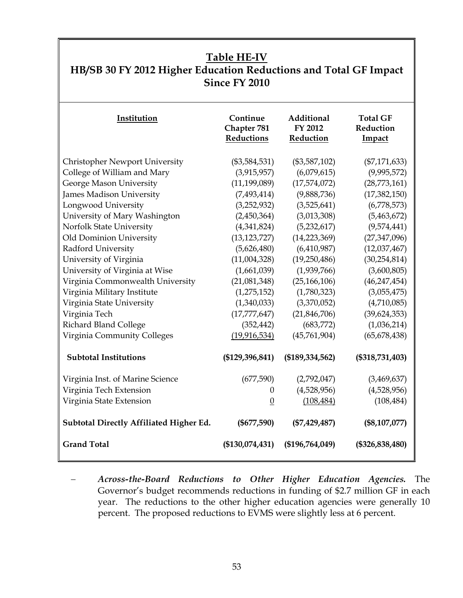## **Table HE-IV HB/SB 30 FY 2012 Higher Education Reductions and Total GF Impact Since FY 2010**

| Institution                             | Continue<br>Chapter 781<br>Reductions | Additional<br>FY 2012<br>Reduction | <b>Total GF</b><br>Reduction<br>Impact |
|-----------------------------------------|---------------------------------------|------------------------------------|----------------------------------------|
| <b>Christopher Newport University</b>   | $(\$3,584,531)$                       | $(\$3,587,102)$                    | $(\$7,171,633)$                        |
| College of William and Mary             | (3,915,957)                           | (6,079,615)                        | (9,995,572)                            |
| George Mason University                 | (11, 199, 089)                        | (17,574,072)                       | (28,773,161)                           |
| <b>James Madison University</b>         | (7,493,414)                           | (9,888,736)                        | (17, 382, 150)                         |
| Longwood University                     | (3,252,932)                           | (3,525,641)                        | (6,778,573)                            |
| University of Mary Washington           | (2,450,364)                           | (3,013,308)                        | (5,463,672)                            |
| Norfolk State University                | (4,341,824)                           | (5,232,617)                        | (9,574,441)                            |
| Old Dominion University                 | (13, 123, 727)                        | (14, 223, 369)                     | (27, 347, 096)                         |
| Radford University                      | (5,626,480)                           | (6,410,987)                        | (12,037,467)                           |
| University of Virginia                  | (11,004,328)                          | (19,250,486)                       | (30, 254, 814)                         |
| University of Virginia at Wise          | (1,661,039)                           | (1,939,766)                        | (3,600,805)                            |
| Virginia Commonwealth University        | (21,081,348)                          | (25, 166, 106)                     | (46, 247, 454)                         |
| Virginia Military Institute             | (1, 275, 152)                         | (1,780,323)                        | (3,055,475)                            |
| Virginia State University               | (1,340,033)                           | (3,370,052)                        | (4,710,085)                            |
| Virginia Tech                           | (17, 777, 647)                        | (21,846,706)                       | (39, 624, 353)                         |
| Richard Bland College                   | (352, 442)                            | (683,772)                          | (1,036,214)                            |
| Virginia Community Colleges             | (19, 916, 534)                        | (45,761,904)                       | (65, 678, 438)                         |
| <b>Subtotal Institutions</b>            | (\$129,396,841)                       | (\$189,334,562)                    | $(\$318,731,403)$                      |
| Virginia Inst. of Marine Science        | (677,590)                             | (2,792,047)                        | (3,469,637)                            |
| Virginia Tech Extension                 | $\theta$                              | (4,528,956)                        | (4,528,956)                            |
| Virginia State Extension                | $\boldsymbol{0}$                      | (108, 484)                         | (108, 484)                             |
| Subtotal Directly Affiliated Higher Ed. | $(\$677,590)$                         | $(\$7,429,487)$                    | $(\$8,107,077)$                        |
| <b>Grand Total</b>                      | (\$130,074,431)                       | (\$196,764,049)                    | $(\$326,838,480)$                      |

<sup>−</sup> *Across-the-Board Reductions to Other Higher Education Agencies.* The Governor's budget recommends reductions in funding of \$2.7 million GF in each year. The reductions to the other higher education agencies were generally 10 percent. The proposed reductions to EVMS were slightly less at 6 percent.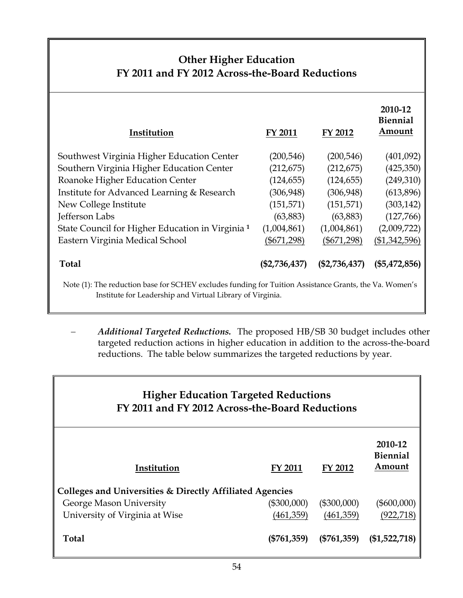## **Other Higher Education FY 2011 and FY 2012 Across-the-Board Reductions**

| Institution                                                                                                                                                         | FY 2011         | FY 2012         | 2010-12<br><b>Biennial</b><br>Amount |  |
|---------------------------------------------------------------------------------------------------------------------------------------------------------------------|-----------------|-----------------|--------------------------------------|--|
| Southwest Virginia Higher Education Center                                                                                                                          | (200, 546)      | (200, 546)      | (401,092)                            |  |
| Southern Virginia Higher Education Center                                                                                                                           | (212, 675)      | (212, 675)      | (425,350)                            |  |
| Roanoke Higher Education Center                                                                                                                                     | (124, 655)      | (124, 655)      | (249,310)                            |  |
| Institute for Advanced Learning & Research                                                                                                                          | (306, 948)      | (306, 948)      | (613,896)                            |  |
| New College Institute                                                                                                                                               | (151, 571)      | (151, 571)      | (303, 142)                           |  |
| Jefferson Labs                                                                                                                                                      | (63,883)        | (63, 883)       | (127,766)                            |  |
| State Council for Higher Education in Virginia <sup>1</sup>                                                                                                         | (1,004,861)     | (1,004,861)     | (2,009,722)                          |  |
| Eastern Virginia Medical School                                                                                                                                     | $(\$671,298)$   | $(\$671,298)$   | ( \$1,342,596)                       |  |
| <b>Total</b>                                                                                                                                                        | $(\$2,736,437)$ | $(\$2,736,437)$ | $(\$5,472,856)$                      |  |
| Note (1): The reduction base for SCHEV excludes funding for Tuition Assistance Grants, the Va. Women's<br>Institute for Leadership and Virtual Library of Virginia. |                 |                 |                                      |  |

− *Additional Targeted Reductions.* The proposed HB/SB 30 budget includes other targeted reduction actions in higher education in addition to the across-the-board reductions. The table below summarizes the targeted reductions by year.

| <b>Higher Education Targeted Reductions</b><br>FY 2011 and FY 2012 Across-the-Board Reductions |                |               |                                      |
|------------------------------------------------------------------------------------------------|----------------|---------------|--------------------------------------|
| Institution                                                                                    | <b>FY 2011</b> | FY 2012       | 2010-12<br><b>Biennial</b><br>Amount |
| Colleges and Universities & Directly Affiliated Agencies                                       |                |               |                                      |
| George Mason University                                                                        | (\$300,000)    | $(\$300,000)$ | (\$600,000)                          |
| University of Virginia at Wise                                                                 | (461,359)      | (461,359)     | (922, 718)                           |
| <b>Total</b>                                                                                   | $(\$761,359)$  | $(\$761,359)$ | $(\$1,522,718)$                      |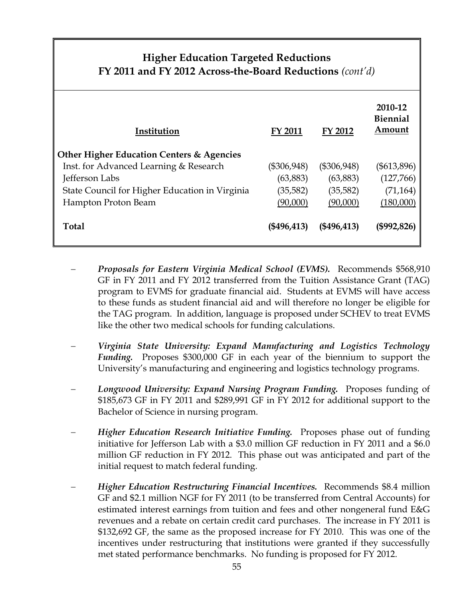### **Higher Education Targeted Reductions FY 2011 and FY 2012 Across-the-Board Reductions** *(cont'd)*

| Institution<br><b>Other Higher Education Centers &amp; Agencies</b> | <b>FY 2011</b> | FY 2012       | 2010-12<br><b>Biennial</b><br>Amount |
|---------------------------------------------------------------------|----------------|---------------|--------------------------------------|
| Inst. for Advanced Learning & Research                              | (\$306,948)    | $(\$306,948)$ | (\$613,896)                          |
| Jefferson Labs                                                      | (63, 883)      | (63,883)      | (127,766)                            |
| State Council for Higher Education in Virginia                      | (35, 582)      | (35, 582)     | (71, 164)                            |
| Hampton Proton Beam                                                 | (90,000)       | (90,000)      | (180,000)                            |
| <b>Total</b>                                                        | $(\$496,413)$  | $(*496,413)$  | (\$992,826)                          |

- − *Proposals for Eastern Virginia Medical School (EVMS).* Recommends \$568,910 GF in FY 2011 and FY 2012 transferred from the Tuition Assistance Grant (TAG) program to EVMS for graduate financial aid. Students at EVMS will have access to these funds as student financial aid and will therefore no longer be eligible for the TAG program. In addition, language is proposed under SCHEV to treat EVMS like the other two medical schools for funding calculations.
- − *Virginia State University: Expand Manufacturing and Logistics Technology Funding.* Proposes \$300,000 GF in each year of the biennium to support the University's manufacturing and engineering and logistics technology programs.
- − *Longwood University: Expand Nursing Program Funding.* Proposes funding of \$185,673 GF in FY 2011 and \$289,991 GF in FY 2012 for additional support to the Bachelor of Science in nursing program.
- − *Higher Education Research Initiative Funding.* Proposes phase out of funding initiative for Jefferson Lab with a \$3.0 million GF reduction in FY 2011 and a \$6.0 million GF reduction in FY 2012. This phase out was anticipated and part of the initial request to match federal funding.
- − *Higher Education Restructuring Financial Incentives.* Recommends \$8.4 million GF and \$2.1 million NGF for FY 2011 (to be transferred from Central Accounts) for estimated interest earnings from tuition and fees and other nongeneral fund E&G revenues and a rebate on certain credit card purchases. The increase in FY 2011 is \$132,692 GF, the same as the proposed increase for FY 2010. This was one of the incentives under restructuring that institutions were granted if they successfully met stated performance benchmarks. No funding is proposed for FY 2012.